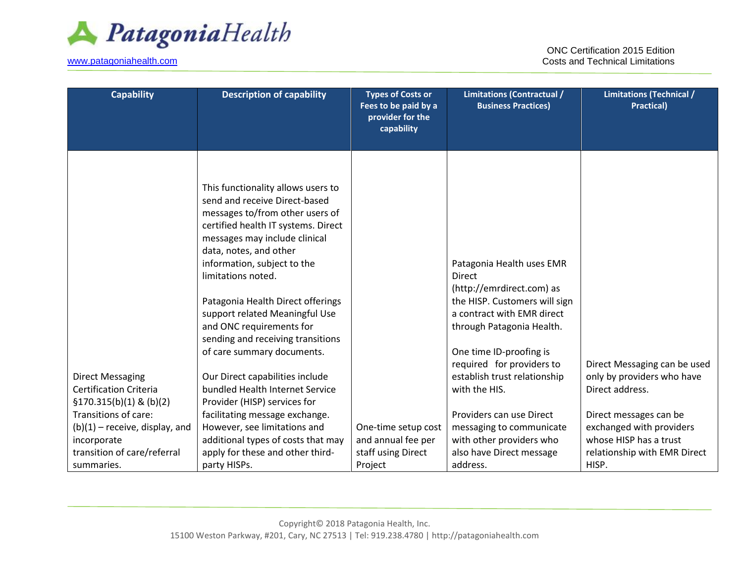

[www.patagoniahealth.com](http://www.patagoniahealth.com/)

ONC Certification 2015 Edition Costs and Technical Limitations

| <b>Capability</b>                | <b>Description of capability</b>                                                                                                              | <b>Types of Costs or</b><br>Fees to be paid by a<br>provider for the<br>capability | <b>Limitations (Contractual /</b><br><b>Business Practices)</b> | <b>Limitations (Technical /</b><br><b>Practical)</b> |
|----------------------------------|-----------------------------------------------------------------------------------------------------------------------------------------------|------------------------------------------------------------------------------------|-----------------------------------------------------------------|------------------------------------------------------|
|                                  |                                                                                                                                               |                                                                                    |                                                                 |                                                      |
|                                  | This functionality allows users to<br>send and receive Direct-based<br>messages to/from other users of<br>certified health IT systems. Direct |                                                                                    |                                                                 |                                                      |
|                                  | messages may include clinical<br>data, notes, and other                                                                                       |                                                                                    |                                                                 |                                                      |
|                                  | information, subject to the                                                                                                                   |                                                                                    | Patagonia Health uses EMR                                       |                                                      |
|                                  | limitations noted.                                                                                                                            |                                                                                    | <b>Direct</b>                                                   |                                                      |
|                                  |                                                                                                                                               |                                                                                    | (http://emrdirect.com) as                                       |                                                      |
|                                  | Patagonia Health Direct offerings                                                                                                             |                                                                                    | the HISP. Customers will sign                                   |                                                      |
|                                  | support related Meaningful Use                                                                                                                |                                                                                    | a contract with EMR direct                                      |                                                      |
|                                  | and ONC requirements for<br>sending and receiving transitions                                                                                 |                                                                                    | through Patagonia Health.                                       |                                                      |
|                                  | of care summary documents.                                                                                                                    |                                                                                    | One time ID-proofing is                                         |                                                      |
|                                  |                                                                                                                                               |                                                                                    | required for providers to                                       | Direct Messaging can be used                         |
| <b>Direct Messaging</b>          | Our Direct capabilities include                                                                                                               |                                                                                    | establish trust relationship                                    | only by providers who have                           |
| <b>Certification Criteria</b>    | bundled Health Internet Service                                                                                                               |                                                                                    | with the HIS.                                                   | Direct address.                                      |
| $$170.315(b)(1)$ & (b)(2)        | Provider (HISP) services for                                                                                                                  |                                                                                    |                                                                 |                                                      |
| Transitions of care:             | facilitating message exchange.                                                                                                                |                                                                                    | Providers can use Direct                                        | Direct messages can be                               |
| $(b)(1)$ – receive, display, and | However, see limitations and                                                                                                                  | One-time setup cost                                                                | messaging to communicate                                        | exchanged with providers                             |
| incorporate                      | additional types of costs that may                                                                                                            | and annual fee per                                                                 | with other providers who                                        | whose HISP has a trust                               |
| transition of care/referral      | apply for these and other third-                                                                                                              | staff using Direct                                                                 | also have Direct message                                        | relationship with EMR Direct                         |
| summaries.                       | party HISPs.                                                                                                                                  | Project                                                                            | address.                                                        | HISP.                                                |